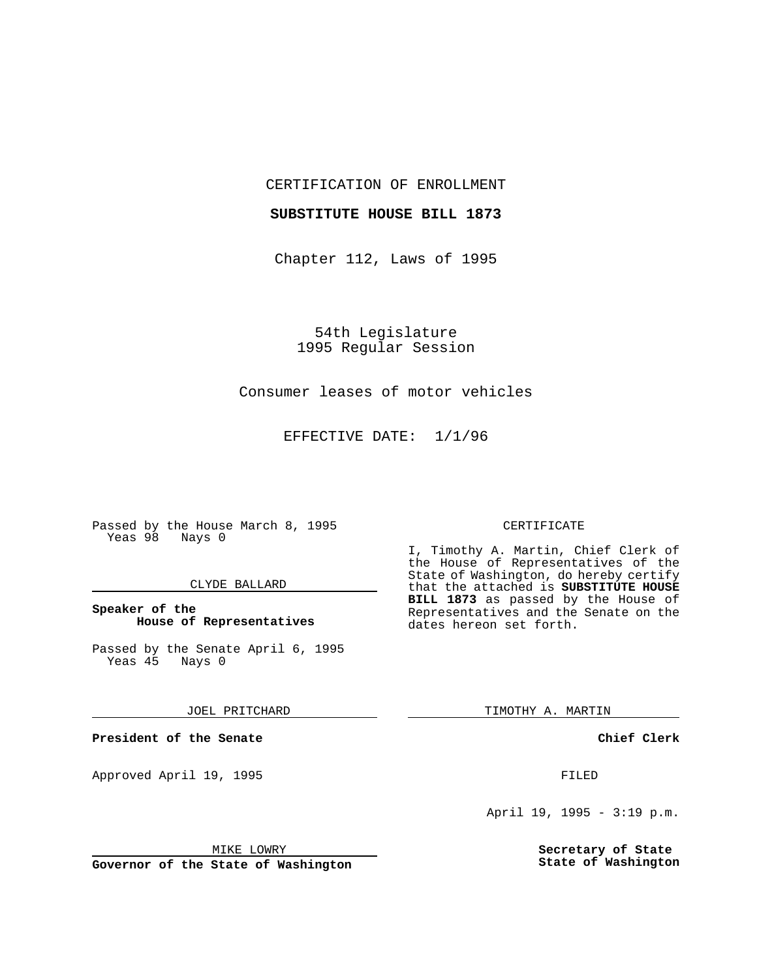CERTIFICATION OF ENROLLMENT

## **SUBSTITUTE HOUSE BILL 1873**

Chapter 112, Laws of 1995

54th Legislature 1995 Regular Session

## Consumer leases of motor vehicles

EFFECTIVE DATE: 1/1/96

Passed by the House March 8, 1995 Yeas 98 Nays 0

#### CLYDE BALLARD

## **Speaker of the House of Representatives**

Passed by the Senate April 6, 1995<br>Yeas 45 Nays 0 Yeas 45

#### JOEL PRITCHARD

**President of the Senate**

Approved April 19, 1995 FILED

#### MIKE LOWRY

**Governor of the State of Washington**

#### CERTIFICATE

I, Timothy A. Martin, Chief Clerk of the House of Representatives of the State of Washington, do hereby certify that the attached is **SUBSTITUTE HOUSE BILL 1873** as passed by the House of Representatives and the Senate on the dates hereon set forth.

TIMOTHY A. MARTIN

### **Chief Clerk**

April 19, 1995 - 3:19 p.m.

**Secretary of State State of Washington**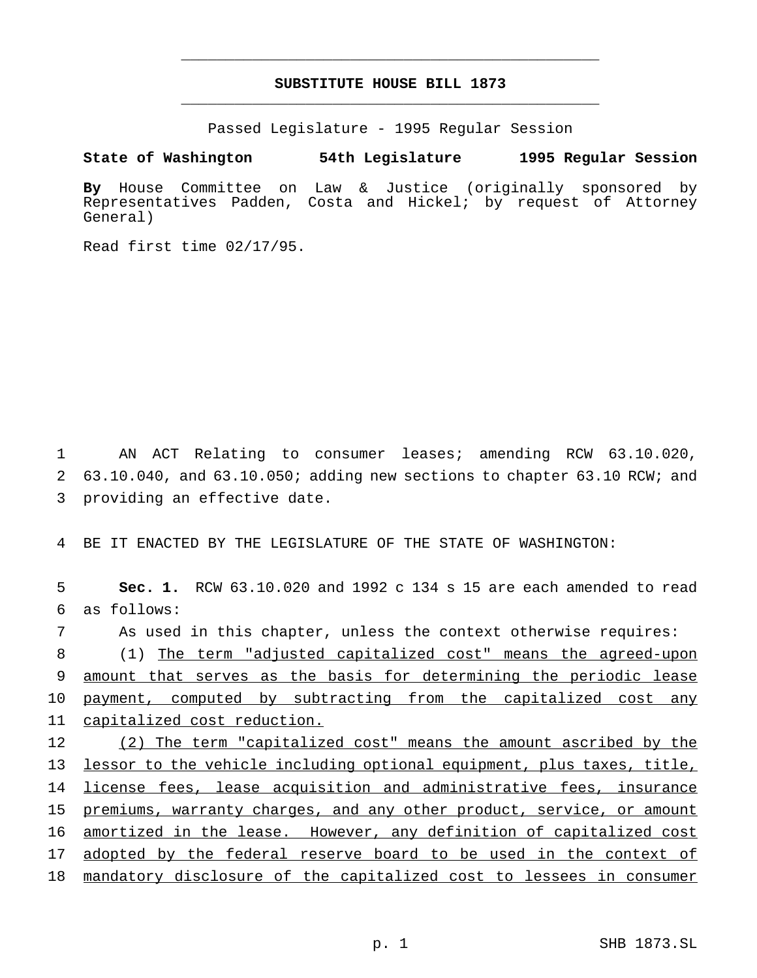# **SUBSTITUTE HOUSE BILL 1873** \_\_\_\_\_\_\_\_\_\_\_\_\_\_\_\_\_\_\_\_\_\_\_\_\_\_\_\_\_\_\_\_\_\_\_\_\_\_\_\_\_\_\_\_\_\_\_

\_\_\_\_\_\_\_\_\_\_\_\_\_\_\_\_\_\_\_\_\_\_\_\_\_\_\_\_\_\_\_\_\_\_\_\_\_\_\_\_\_\_\_\_\_\_\_

Passed Legislature - 1995 Regular Session

**State of Washington 54th Legislature 1995 Regular Session**

**By** House Committee on Law & Justice (originally sponsored by Representatives Padden, Costa and Hickel; by request of Attorney General)

Read first time 02/17/95.

1 AN ACT Relating to consumer leases; amending RCW 63.10.020, 2 63.10.040, and 63.10.050; adding new sections to chapter 63.10 RCW; and 3 providing an effective date.

4 BE IT ENACTED BY THE LEGISLATURE OF THE STATE OF WASHINGTON:

5 **Sec. 1.** RCW 63.10.020 and 1992 c 134 s 15 are each amended to read 6 as follows:

 As used in this chapter, unless the context otherwise requires: (1) The term "adjusted capitalized cost" means the agreed-upon amount that serves as the basis for determining the periodic lease 10 payment, computed by subtracting from the capitalized cost any capitalized cost reduction.

12 (2) The term "capitalized cost" means the amount ascribed by the 13 lessor to the vehicle including optional equipment, plus taxes, title, 14 license fees, lease acquisition and administrative fees, insurance 15 premiums, warranty charges, and any other product, service, or amount 16 amortized in the lease. However, any definition of capitalized cost 17 adopted by the federal reserve board to be used in the context of 18 mandatory disclosure of the capitalized cost to lessees in consumer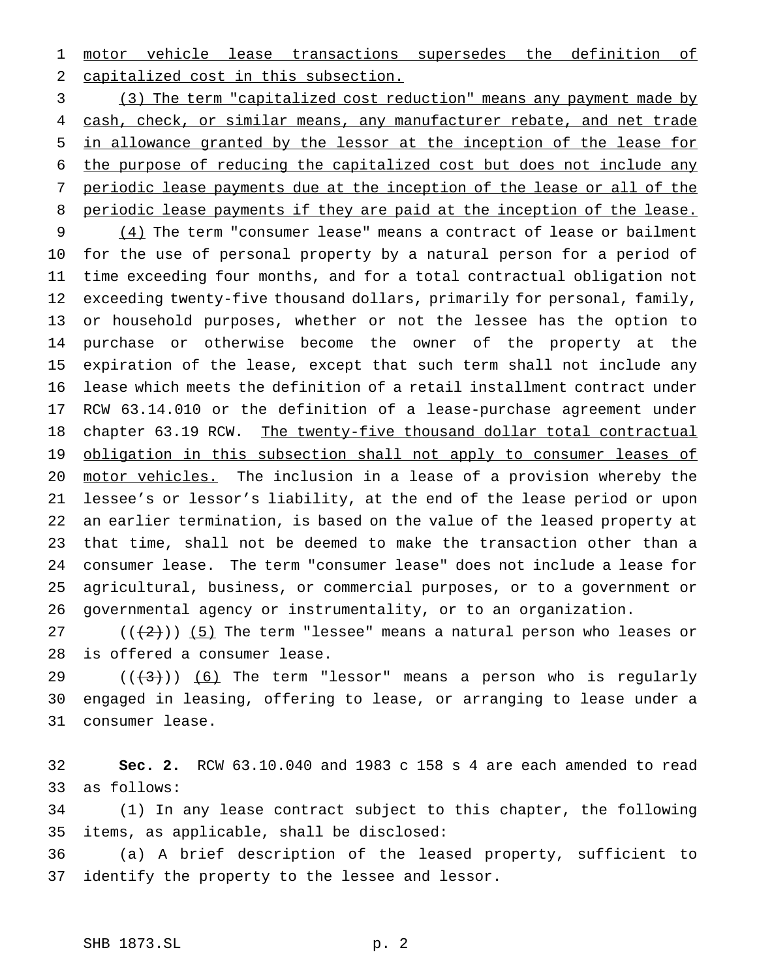motor vehicle lease transactions supersedes the definition of capitalized cost in this subsection.

 (3) The term "capitalized cost reduction" means any payment made by 4 cash, check, or similar means, any manufacturer rebate, and net trade in allowance granted by the lessor at the inception of the lease for the purpose of reducing the capitalized cost but does not include any periodic lease payments due at the inception of the lease or all of the 8 periodic lease payments if they are paid at the inception of the lease.

 (4) The term "consumer lease" means a contract of lease or bailment for the use of personal property by a natural person for a period of time exceeding four months, and for a total contractual obligation not exceeding twenty-five thousand dollars, primarily for personal, family, or household purposes, whether or not the lessee has the option to purchase or otherwise become the owner of the property at the expiration of the lease, except that such term shall not include any lease which meets the definition of a retail installment contract under RCW 63.14.010 or the definition of a lease-purchase agreement under 18 chapter 63.19 RCW. The twenty-five thousand dollar total contractual 19 obligation in this subsection shall not apply to consumer leases of motor vehicles. The inclusion in a lease of a provision whereby the lessee's or lessor's liability, at the end of the lease period or upon an earlier termination, is based on the value of the leased property at that time, shall not be deemed to make the transaction other than a consumer lease. The term "consumer lease" does not include a lease for agricultural, business, or commercial purposes, or to a government or governmental agency or instrumentality, or to an organization.

27 ( $(\frac{2}{2})$ ) (5) The term "lessee" means a natural person who leases or is offered a consumer lease.

29 ( $(\langle 43 \rangle)$ ) (6) The term "lessor" means a person who is regularly engaged in leasing, offering to lease, or arranging to lease under a consumer lease.

 **Sec. 2.** RCW 63.10.040 and 1983 c 158 s 4 are each amended to read as follows:

 (1) In any lease contract subject to this chapter, the following items, as applicable, shall be disclosed:

 (a) A brief description of the leased property, sufficient to identify the property to the lessee and lessor.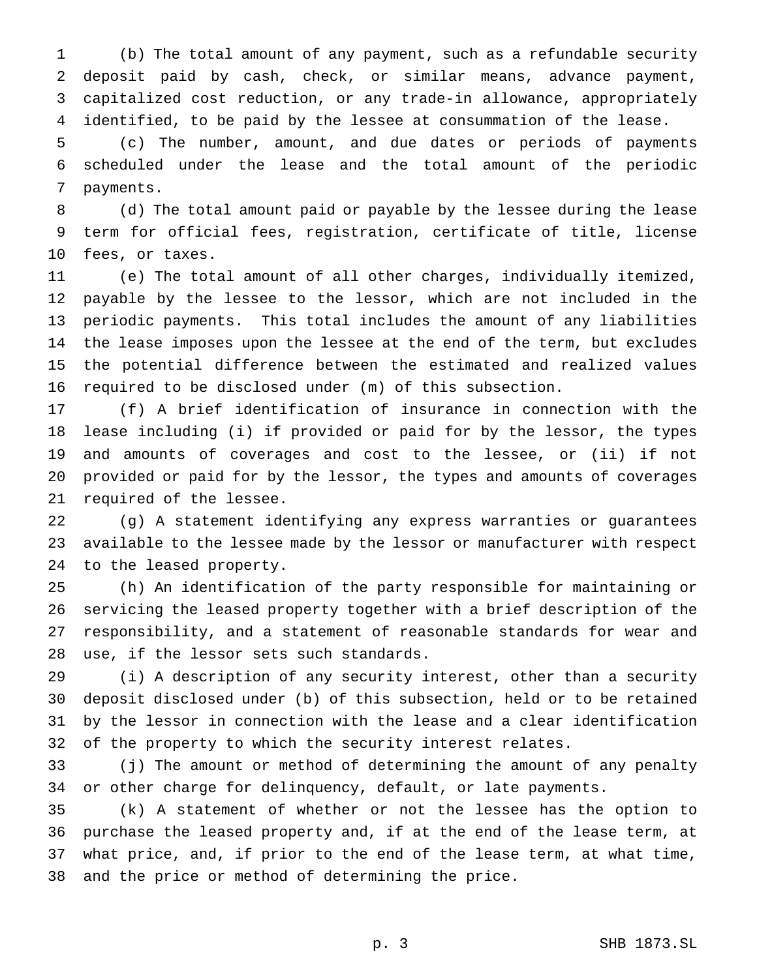(b) The total amount of any payment, such as a refundable security deposit paid by cash, check, or similar means, advance payment, capitalized cost reduction, or any trade-in allowance, appropriately identified, to be paid by the lessee at consummation of the lease.

 (c) The number, amount, and due dates or periods of payments scheduled under the lease and the total amount of the periodic payments.

 (d) The total amount paid or payable by the lessee during the lease term for official fees, registration, certificate of title, license fees, or taxes.

 (e) The total amount of all other charges, individually itemized, payable by the lessee to the lessor, which are not included in the periodic payments. This total includes the amount of any liabilities the lease imposes upon the lessee at the end of the term, but excludes the potential difference between the estimated and realized values required to be disclosed under (m) of this subsection.

 (f) A brief identification of insurance in connection with the lease including (i) if provided or paid for by the lessor, the types and amounts of coverages and cost to the lessee, or (ii) if not provided or paid for by the lessor, the types and amounts of coverages required of the lessee.

 (g) A statement identifying any express warranties or guarantees available to the lessee made by the lessor or manufacturer with respect to the leased property.

 (h) An identification of the party responsible for maintaining or servicing the leased property together with a brief description of the responsibility, and a statement of reasonable standards for wear and use, if the lessor sets such standards.

 (i) A description of any security interest, other than a security deposit disclosed under (b) of this subsection, held or to be retained by the lessor in connection with the lease and a clear identification of the property to which the security interest relates.

 (j) The amount or method of determining the amount of any penalty or other charge for delinquency, default, or late payments.

 (k) A statement of whether or not the lessee has the option to purchase the leased property and, if at the end of the lease term, at what price, and, if prior to the end of the lease term, at what time, and the price or method of determining the price.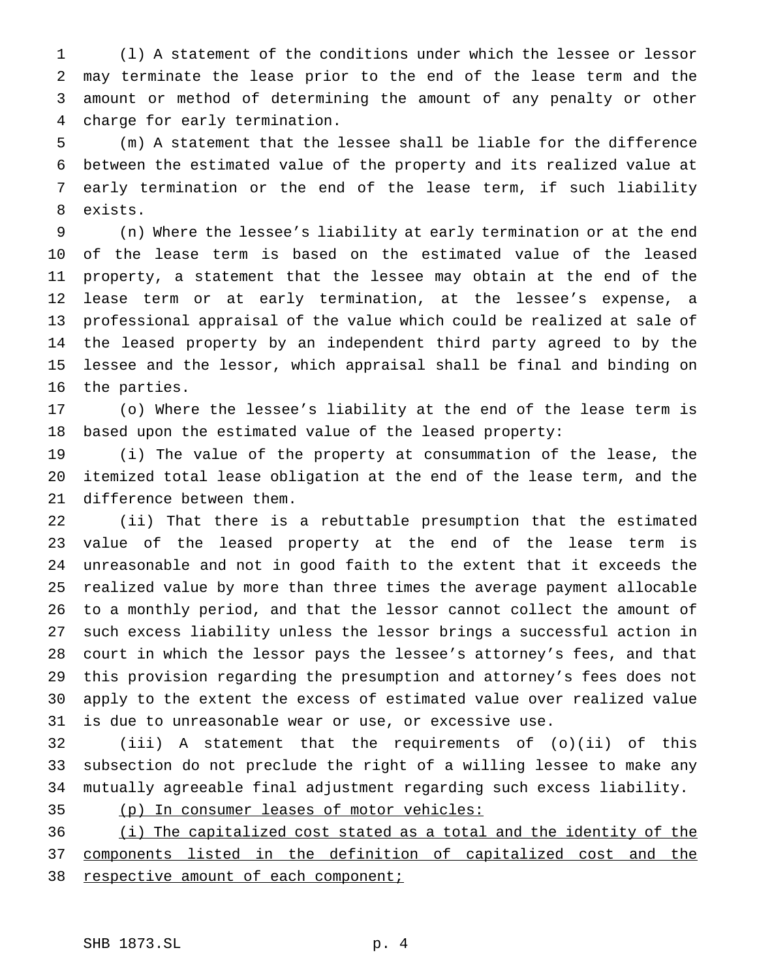(l) A statement of the conditions under which the lessee or lessor may terminate the lease prior to the end of the lease term and the amount or method of determining the amount of any penalty or other charge for early termination.

 (m) A statement that the lessee shall be liable for the difference between the estimated value of the property and its realized value at early termination or the end of the lease term, if such liability exists.

 (n) Where the lessee's liability at early termination or at the end of the lease term is based on the estimated value of the leased property, a statement that the lessee may obtain at the end of the lease term or at early termination, at the lessee's expense, a professional appraisal of the value which could be realized at sale of the leased property by an independent third party agreed to by the lessee and the lessor, which appraisal shall be final and binding on the parties.

 (o) Where the lessee's liability at the end of the lease term is based upon the estimated value of the leased property:

 (i) The value of the property at consummation of the lease, the itemized total lease obligation at the end of the lease term, and the difference between them.

 (ii) That there is a rebuttable presumption that the estimated value of the leased property at the end of the lease term is unreasonable and not in good faith to the extent that it exceeds the realized value by more than three times the average payment allocable to a monthly period, and that the lessor cannot collect the amount of such excess liability unless the lessor brings a successful action in court in which the lessor pays the lessee's attorney's fees, and that this provision regarding the presumption and attorney's fees does not apply to the extent the excess of estimated value over realized value is due to unreasonable wear or use, or excessive use.

 (iii) A statement that the requirements of (o)(ii) of this subsection do not preclude the right of a willing lessee to make any mutually agreeable final adjustment regarding such excess liability.

(p) In consumer leases of motor vehicles:

 (i) The capitalized cost stated as a total and the identity of the components listed in the definition of capitalized cost and the 38 respective amount of each component;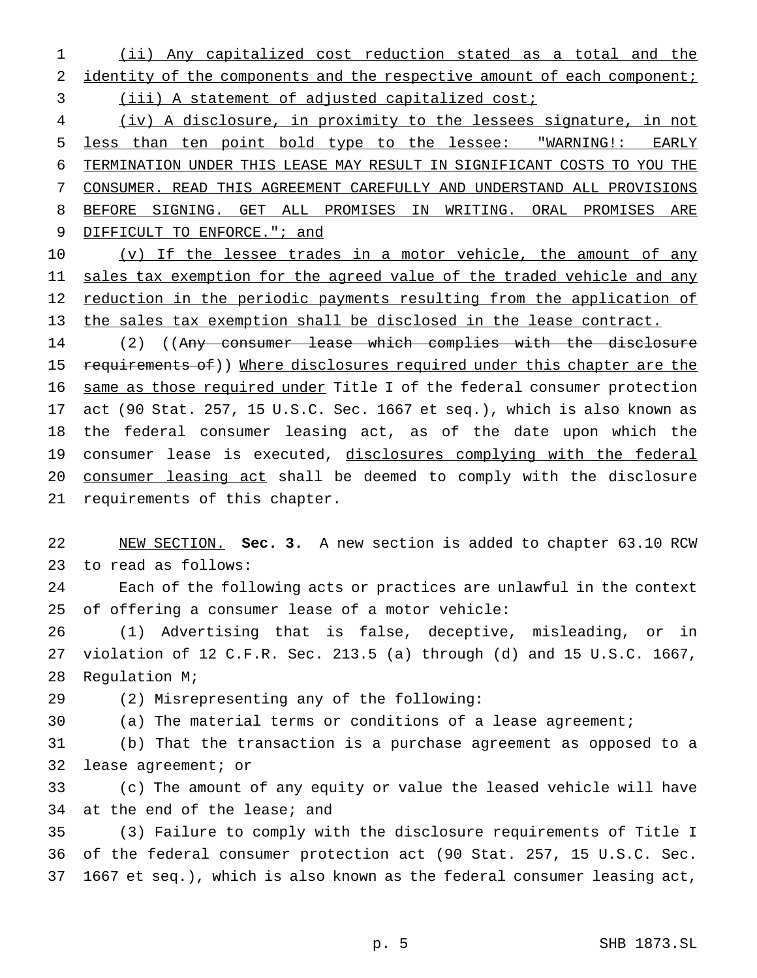(ii) Any capitalized cost reduction stated as a total and the 2 identity of the components and the respective amount of each component; (iii) A statement of adjusted capitalized cost;

 (iv) A disclosure, in proximity to the lessees signature, in not less than ten point bold type to the lessee: "WARNING!: EARLY TERMINATION UNDER THIS LEASE MAY RESULT IN SIGNIFICANT COSTS TO YOU THE CONSUMER. READ THIS AGREEMENT CAREFULLY AND UNDERSTAND ALL PROVISIONS BEFORE SIGNING. GET ALL PROMISES IN WRITING. ORAL PROMISES ARE DIFFICULT TO ENFORCE."; and

10 (v) If the lessee trades in a motor vehicle, the amount of any 11 sales tax exemption for the agreed value of the traded vehicle and any 12 reduction in the periodic payments resulting from the application of the sales tax exemption shall be disclosed in the lease contract.

 (2) ((Any consumer lease which complies with the disclosure 15 requirements of)) Where disclosures required under this chapter are the same as those required under Title I of the federal consumer protection act (90 Stat. 257, 15 U.S.C. Sec. 1667 et seq.), which is also known as the federal consumer leasing act, as of the date upon which the 19 consumer lease is executed, disclosures complying with the federal consumer leasing act shall be deemed to comply with the disclosure requirements of this chapter.

 NEW SECTION. **Sec. 3.** A new section is added to chapter 63.10 RCW to read as follows:

 Each of the following acts or practices are unlawful in the context of offering a consumer lease of a motor vehicle:

 (1) Advertising that is false, deceptive, misleading, or in violation of 12 C.F.R. Sec. 213.5 (a) through (d) and 15 U.S.C. 1667, Regulation M;

(2) Misrepresenting any of the following:

(a) The material terms or conditions of a lease agreement;

 (b) That the transaction is a purchase agreement as opposed to a lease agreement; or

 (c) The amount of any equity or value the leased vehicle will have at the end of the lease; and

 (3) Failure to comply with the disclosure requirements of Title I of the federal consumer protection act (90 Stat. 257, 15 U.S.C. Sec. 1667 et seq.), which is also known as the federal consumer leasing act,